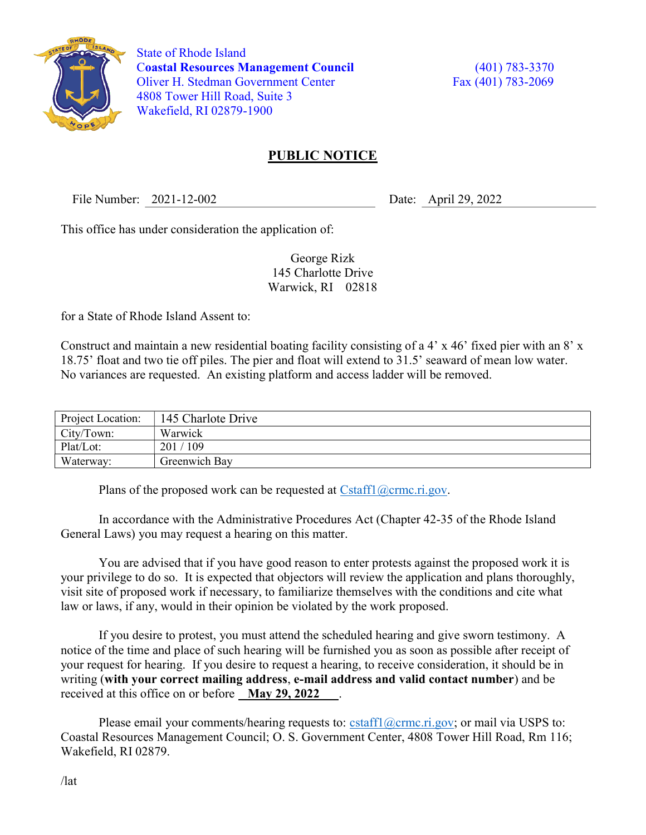

 State of Rhode Island Coastal Resources Management Council (401) 783-3370 Oliver H. Stedman Government Center Fax (401) 783-2069 4808 Tower Hill Road, Suite 3 Wakefield, RI 02879-1900

## PUBLIC NOTICE

File Number: 2021-12-002 Date: April 29, 2022

This office has under consideration the application of:

George Rizk 145 Charlotte Drive Warwick, RI 02818

for a State of Rhode Island Assent to:

Construct and maintain a new residential boating facility consisting of a 4' x 46' fixed pier with an 8' x 18.75' float and two tie off piles. The pier and float will extend to 31.5' seaward of mean low water. No variances are requested. An existing platform and access ladder will be removed.

| Project Location: | 145 Charlote Drive      |
|-------------------|-------------------------|
| City/Town:        | Warwick                 |
| Plat/Lot:         | $^{\prime}$ 109<br>201/ |
| Waterway:         | Greenwich Bay           |

Plans of the proposed work can be requested at  $Cstat1(\omega$ crmc.ri.gov.

In accordance with the Administrative Procedures Act (Chapter 42-35 of the Rhode Island General Laws) you may request a hearing on this matter.

You are advised that if you have good reason to enter protests against the proposed work it is your privilege to do so. It is expected that objectors will review the application and plans thoroughly, visit site of proposed work if necessary, to familiarize themselves with the conditions and cite what law or laws, if any, would in their opinion be violated by the work proposed.

If you desire to protest, you must attend the scheduled hearing and give sworn testimony. A notice of the time and place of such hearing will be furnished you as soon as possible after receipt of your request for hearing. If you desire to request a hearing, to receive consideration, it should be in writing (with your correct mailing address, e-mail address and valid contact number) and be received at this office on or before May 29, 2022

Please email your comments/hearing requests to: cstaff1@crmc.ri.gov; or mail via USPS to: Coastal Resources Management Council; O. S. Government Center, 4808 Tower Hill Road, Rm 116; Wakefield, RI 02879.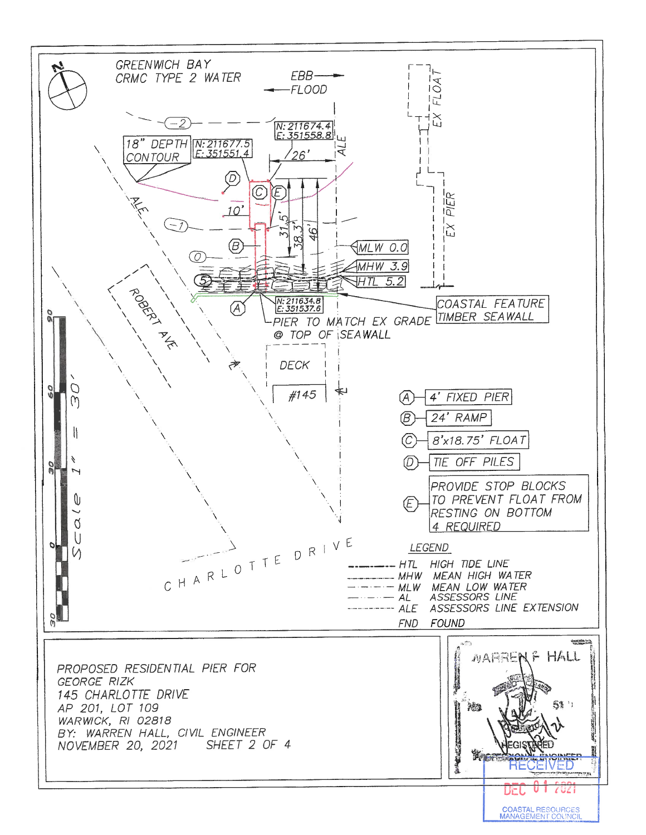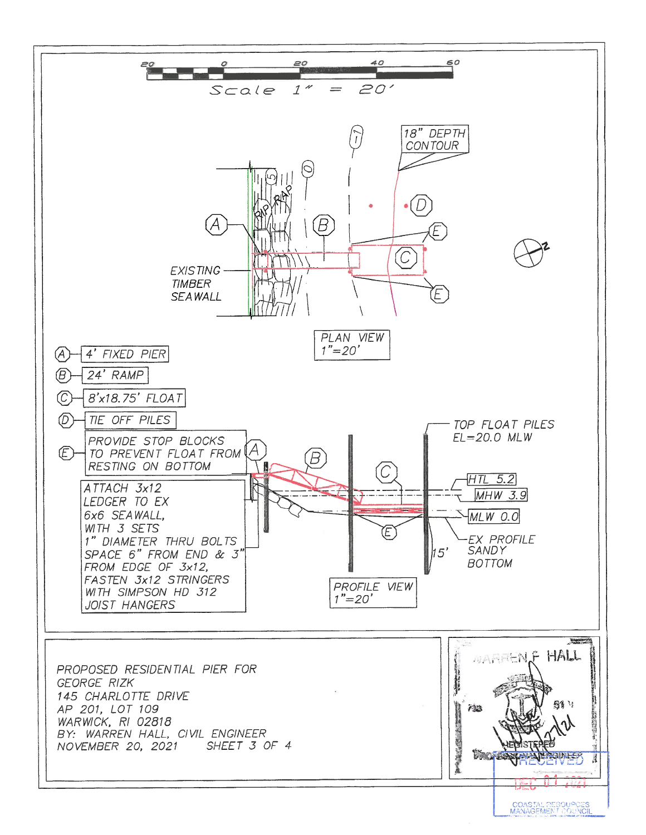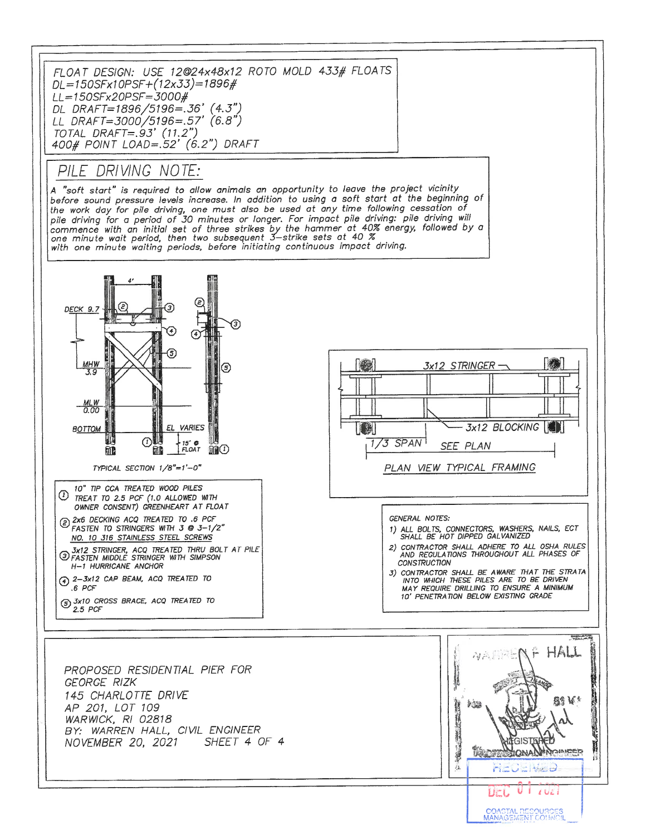